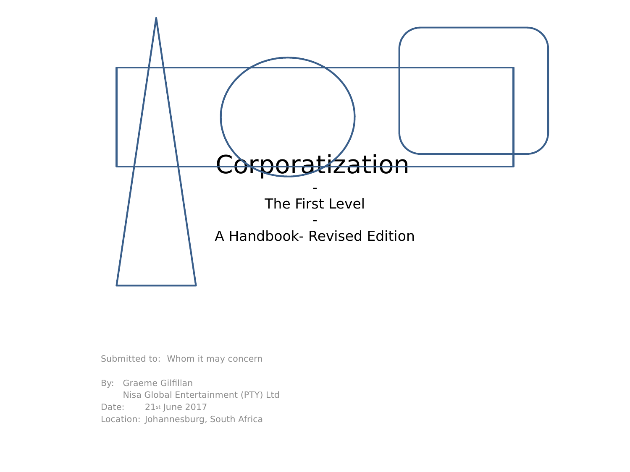

Submitted to: Whom it may concern

By: Graeme Gilfillan Nisa Global Entertainment (PTY) Ltd Date: 21st June 2017 Location: Johannesburg, South Africa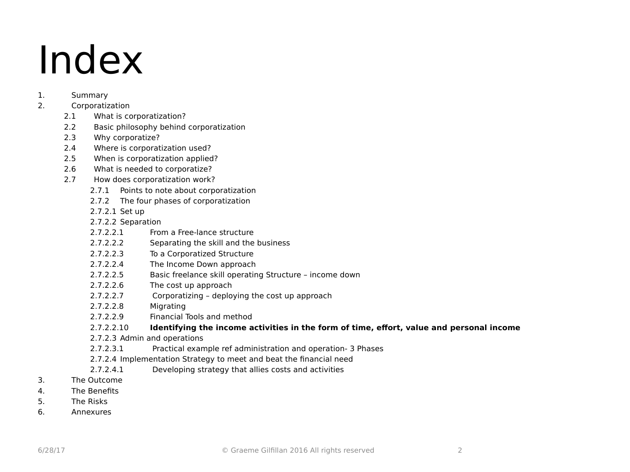## Index

#### 1. Summary

#### 2. Corporatization

- 2.1 What is corporatization?
- 2.2 Basic philosophy behind corporatization
- 2.3 Why corporatize?
- 2.4 Where is corporatization used?
- 2.5 When is corporatization applied?
- 2.6 What is needed to corporatize?
- 2.7 How does corporatization work?
	- 2.7.1 Points to note about corporatization
	- 2.7.2 The four phases of corporatization
	- 2.7.2.1 Set up
	- 2.7.2.2 Separation
	- 2.7.2.2.1 From a Free-lance structure
	- 2.7.2.2.2 Separating the skill and the business
	- 2.7.2.2.3 To a Corporatized Structure
	- 2.7.2.2.4 The Income Down approach
	- 2.7.2.2.5 Basic freelance skill operating Structure income down
	- 2.7.2.2.6 The cost up approach
	- 2.7.2.2.7 Corporatizing deploying the cost up approach
	- 2.7.2.2.8 Migrating
	- 2.7.2.2.9 Financial Tools and method

#### 2.7.2.2.10 **Identifying the income activities in the form of time, effort, value and personal income**

- 2.7.2.3 Admin and operations
- 2.7.2.3.1 Practical example ref administration and operation- 3 Phases
- 2.7.2.4 Implementation Strategy to meet and beat the financial need
- 2.7.2.4.1 Developing strategy that allies costs and activities
- 3. The Outcome
- 4. The Benefits
- 5. The Risks
- 6. Annexures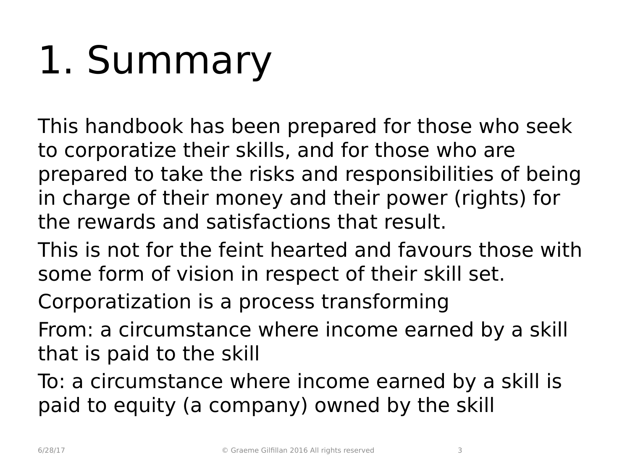# 1. Summary

This handbook has been prepared for those who seek to corporatize their skills, and for those who are prepared to take the risks and responsibilities of being in charge of their money and their power (rights) for the rewards and satisfactions that result.

- This is not for the feint hearted and favours those with some form of vision in respect of their skill set.
- Corporatization is a process transforming
- From: a circumstance where income earned by a skill that is paid to the skill
- To: a circumstance where income earned by a skill is paid to equity (a company) owned by the skill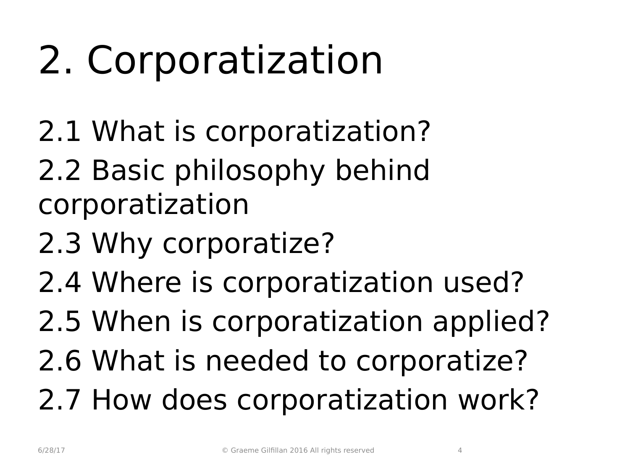# 2. Corporatization

- 2.1 What is corporatization?
- 2.2 Basic philosophy behind corporatization
- 2.3 Why corporatize?
- 2.4 Where is corporatization used?
- 2.5 When is corporatization applied?
- 2.6 What is needed to corporatize?
- 2.7 How does corporatization work?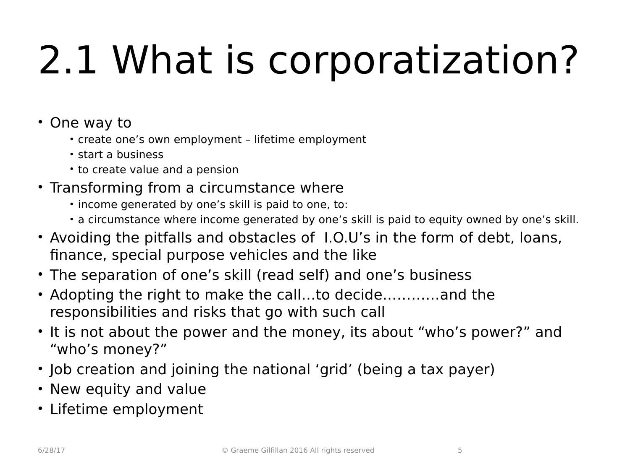# 2.1 What is corporatization?

- One way to
	- create one's own employment lifetime employment
	- start a business
	- to create value and a pension
- Transforming from a circumstance where
	- income generated by one's skill is paid to one, to:
	- a circumstance where income generated by one's skill is paid to equity owned by one's skill.
- Avoiding the pitfalls and obstacles of I.O.U's in the form of debt, loans, finance, special purpose vehicles and the like
- The separation of one's skill (read self) and one's business
- Adopting the right to make the call…to decide…………and the responsibilities and risks that go with such call
- It is not about the power and the money, its about "who's power?" and "who's money?"
- Job creation and joining the national 'grid' (being a tax payer)
- New equity and value
- Lifetime employment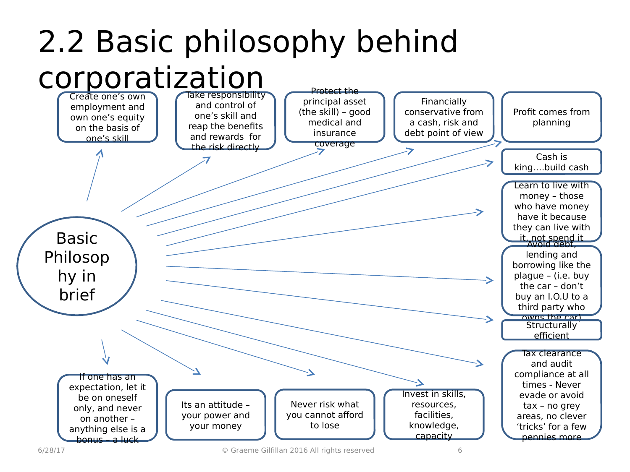#### 2.2 Basic philosophy behind corporatization Protect the

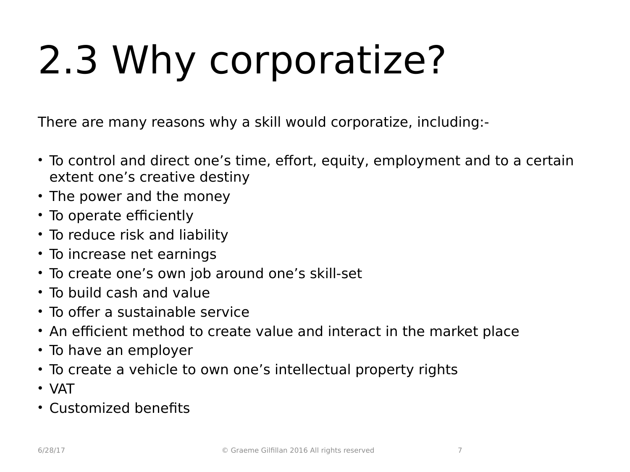# 2.3 Why corporatize?

There are many reasons why a skill would corporatize, including:-

- To control and direct one's time, effort, equity, employment and to a certain extent one's creative destiny
- The power and the money
- To operate efficiently
- To reduce risk and liability
- To increase net earnings
- To create one's own job around one's skill-set
- To build cash and value
- To offer a sustainable service
- An efficient method to create value and interact in the market place
- To have an employer
- To create a vehicle to own one's intellectual property rights
- VAT
- Customized benefits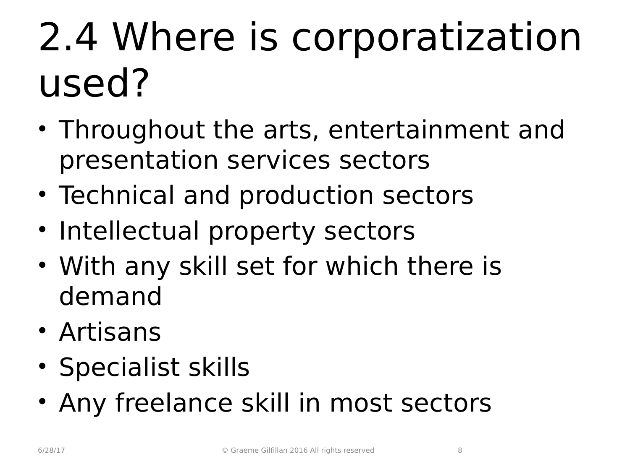## 2.4 Where is corporatization used?

- Throughout the arts, entertainment and presentation services sectors
- Technical and production sectors
- Intellectual property sectors
- With any skill set for which there is demand
- Artisans
- Specialist skills
- Any freelance skill in most sectors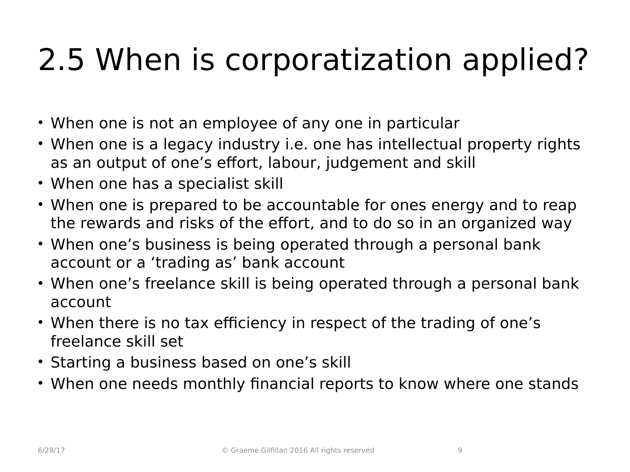## 2.5 When is corporatization applied?

- When one is not an employee of any one in particular
- When one is a legacy industry i.e. one has intellectual property rights as an output of one's effort, labour, judgement and skill
- When one has a specialist skill
- When one is prepared to be accountable for ones energy and to reap the rewards and risks of the effort, and to do so in an organized way
- When one's business is being operated through a personal bank account or a 'trading as' bank account
- When one's freelance skill is being operated through a personal bank account
- When there is no tax efficiency in respect of the trading of one's freelance skill set
- Starting a business based on one's skill
- When one needs monthly financial reports to know where one stands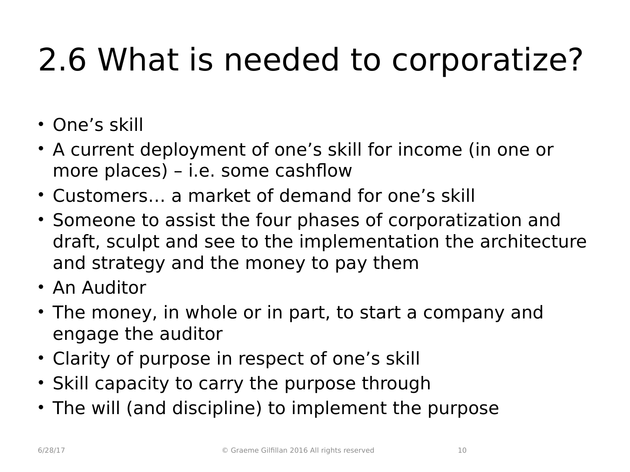## 2.6 What is needed to corporatize?

- One's skill
- A current deployment of one's skill for income (in one or more places) – i.e. some cashflow
- Customers… a market of demand for one's skill
- Someone to assist the four phases of corporatization and draft, sculpt and see to the implementation the architecture and strategy and the money to pay them
- An Auditor
- The money, in whole or in part, to start a company and engage the auditor
- Clarity of purpose in respect of one's skill
- Skill capacity to carry the purpose through
- The will (and discipline) to implement the purpose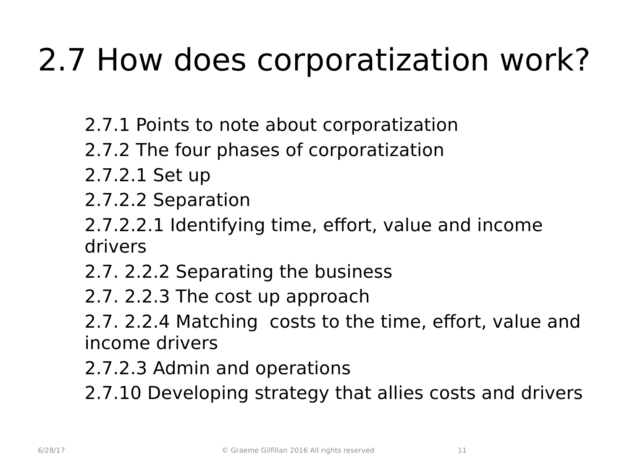## 2.7 How does corporatization work?

- 2.7.1 Points to note about corporatization
- 2.7.2 The four phases of corporatization
- 2.7.2.1 Set up
- 2.7.2.2 Separation
- 2.7.2.2.1 Identifying time, effort, value and income drivers
- 2.7. 2.2.2 Separating the business
- 2.7. 2.2.3 The cost up approach
- 2.7. 2.2.4 Matching costs to the time, effort, value and income drivers
- 2.7.2.3 Admin and operations
- 2.7.10 Developing strategy that allies costs and drivers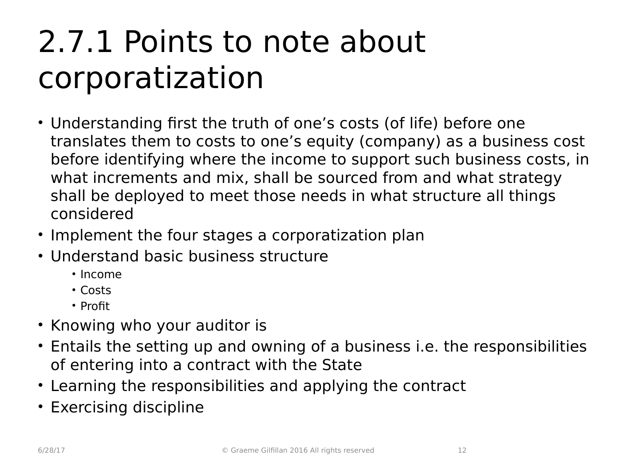### 2.7.1 Points to note about corporatization

- Understanding first the truth of one's costs (of life) before one translates them to costs to one's equity (company) as a business cost before identifying where the income to support such business costs, in what increments and mix, shall be sourced from and what strategy shall be deployed to meet those needs in what structure all things considered
- Implement the four stages a corporatization plan
- Understand basic business structure
	- Income
	- Costs
	- Profit
- Knowing who your auditor is
- Entails the setting up and owning of a business i.e. the responsibilities of entering into a contract with the State
- Learning the responsibilities and applying the contract
- Exercising discipline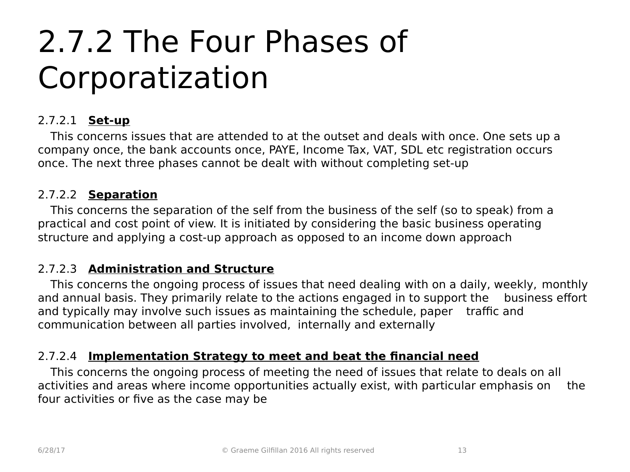### 2.7.2 The Four Phases of Corporatization

#### 2.7.2.1 **Set-up**

This concerns issues that are attended to at the outset and deals with once. One sets up a company once, the bank accounts once, PAYE, Income Tax, VAT, SDL etc registration occurs once. The next three phases cannot be dealt with without completing set-up

#### 2.7.2.2 **Separation**

This concerns the separation of the self from the business of the self (so to speak) from a practical and cost point of view. It is initiated by considering the basic business operating structure and applying a cost-up approach as opposed to an income down approach

#### 2.7.2.3 **Administration and Structure**

This concerns the ongoing process of issues that need dealing with on a daily, weekly, monthly and annual basis. They primarily relate to the actions engaged in to support the business effort and typically may involve such issues as maintaining the schedule, paper traffic and communication between all parties involved, internally and externally

#### 2.7.2.4 **Implementation Strategy to meet and beat the financial need**

This concerns the ongoing process of meeting the need of issues that relate to deals on all activities and areas where income opportunities actually exist, with particular emphasis on the four activities or five as the case may be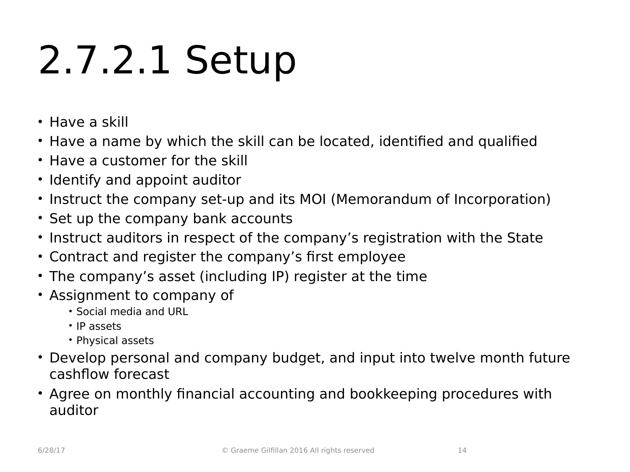## 2.7.2.1 Setup

- Have a skill
- Have a name by which the skill can be located, identified and qualified
- Have a customer for the skill
- Identify and appoint auditor
- Instruct the company set-up and its MOI (Memorandum of Incorporation)
- Set up the company bank accounts
- Instruct auditors in respect of the company's registration with the State
- Contract and register the company's first employee
- The company's asset (including IP) register at the time
- Assignment to company of
	- Social media and URL
	- IP assets
	- Physical assets
- Develop personal and company budget, and input into twelve month future cashflow forecast
- Agree on monthly financial accounting and bookkeeping procedures with auditor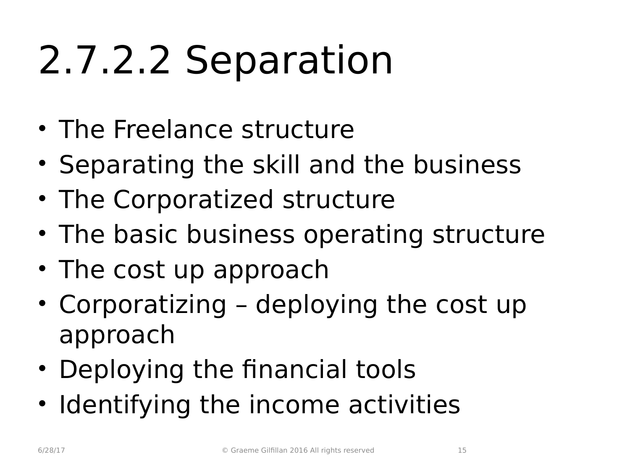## 2.7.2.2 Separation

- The Freelance structure
- Separating the skill and the business
- The Corporatized structure
- The basic business operating structure
- The cost up approach
- Corporatizing deploying the cost up approach
- Deploying the financial tools
- Identifying the income activities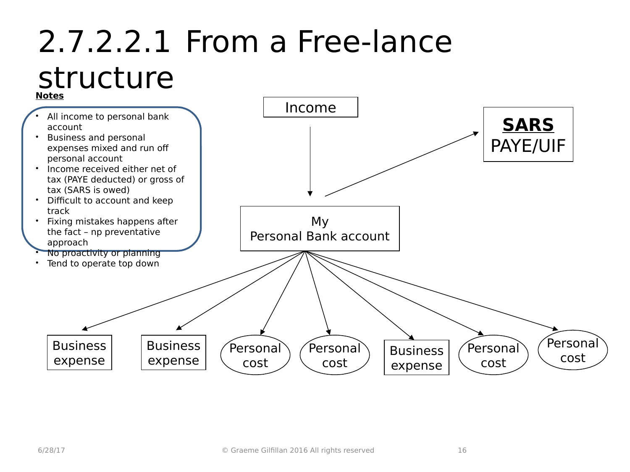#### 2.7.2.2.1 From a Free-lance structure

#### **Notes**

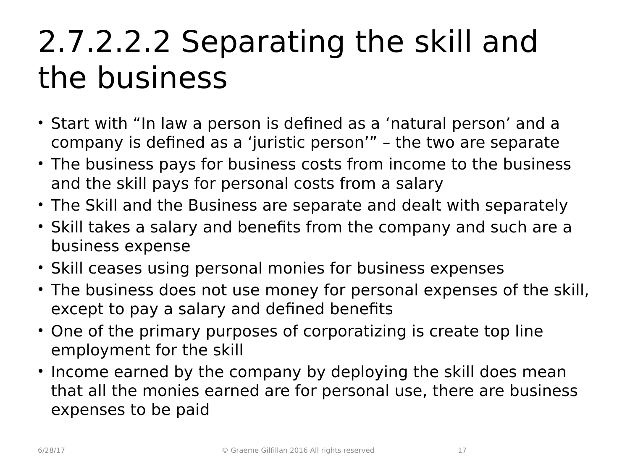### 2.7.2.2.2 Separating the skill and the business

- Start with "In law a person is defined as a 'natural person' and a company is defined as a 'juristic person'" – the two are separate
- The business pays for business costs from income to the business and the skill pays for personal costs from a salary
- The Skill and the Business are separate and dealt with separately
- Skill takes a salary and benefits from the company and such are a business expense
- Skill ceases using personal monies for business expenses
- The business does not use money for personal expenses of the skill, except to pay a salary and defined benefits
- One of the primary purposes of corporatizing is create top line employment for the skill
- Income earned by the company by deploying the skill does mean that all the monies earned are for personal use, there are business expenses to be paid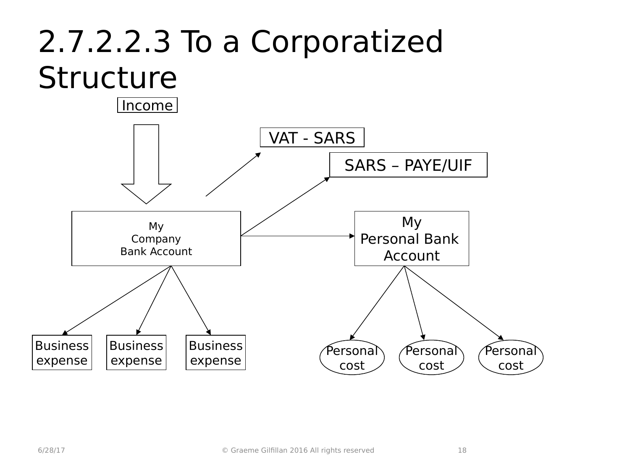### 2.7.2.2.3 To a Corporatized **Structure**

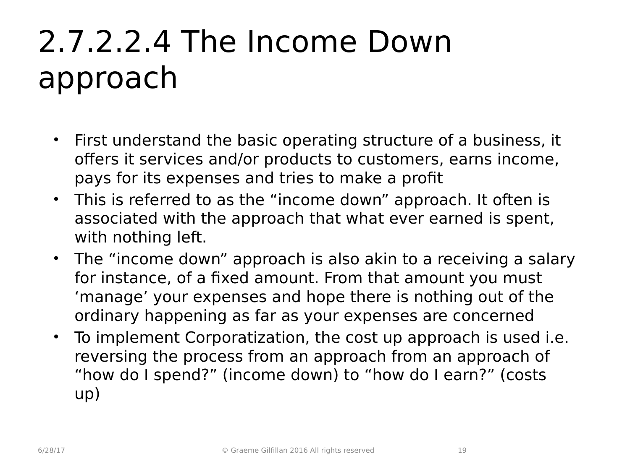### 2.7.2.2.4 The Income Down approach

- First understand the basic operating structure of a business, it offers it services and/or products to customers, earns income, pays for its expenses and tries to make a profit
- This is referred to as the "income down" approach. It often is associated with the approach that what ever earned is spent, with nothing left.
- The "income down" approach is also akin to a receiving a salary for instance, of a fixed amount. From that amount you must 'manage' your expenses and hope there is nothing out of the ordinary happening as far as your expenses are concerned
- To implement Corporatization, the cost up approach is used i.e. reversing the process from an approach from an approach of "how do I spend?" (income down) to "how do I earn?" (costs up)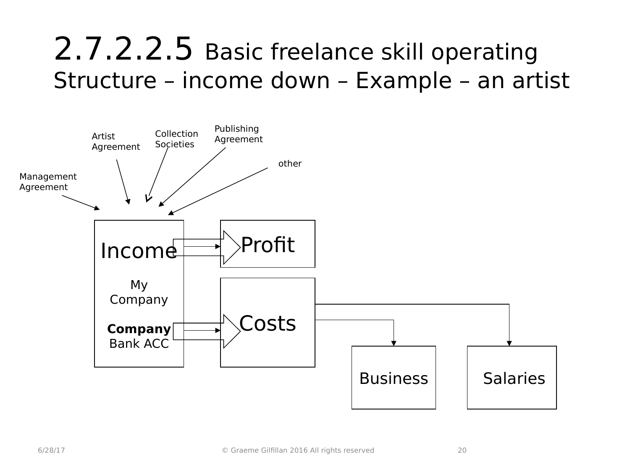#### 2.7.2.2.5 Basic freelance skill operating Structure – income down – Example – an artist

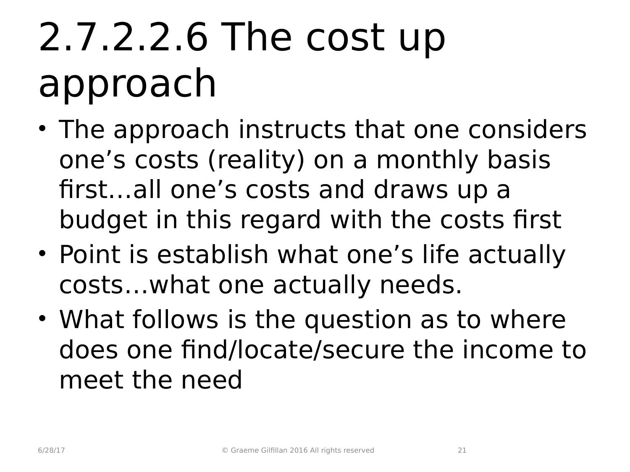## 2.7.2.2.6 The cost up approach

- The approach instructs that one considers one's costs (reality) on a monthly basis first…all one's costs and draws up a budget in this regard with the costs first
- Point is establish what one's life actually costs…what one actually needs.
- What follows is the question as to where does one find/locate/secure the income to meet the need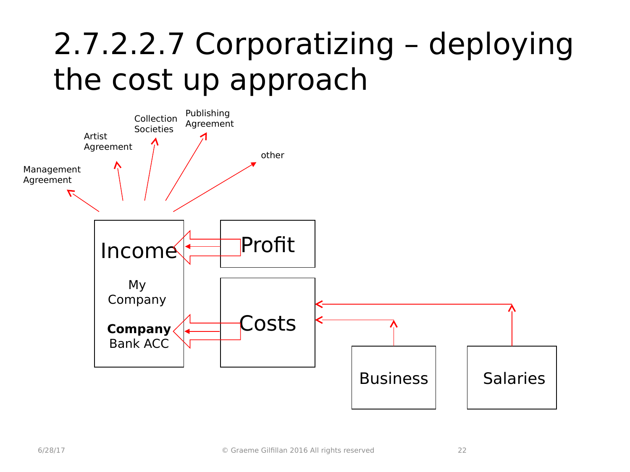### 2.7.2.2.7 Corporatizing – deploying the cost up approach

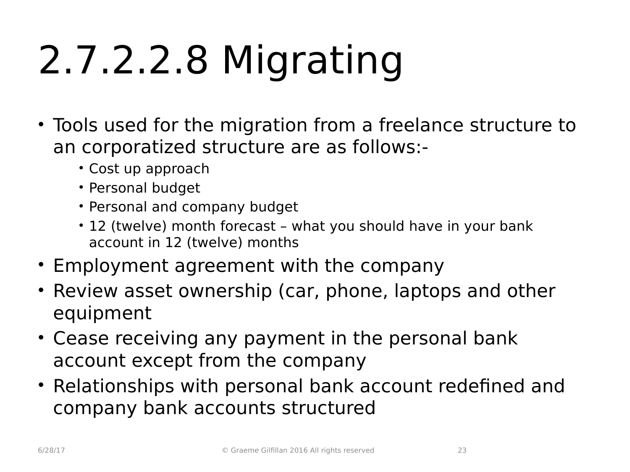# 2.7.2.2.8 Migrating

- Tools used for the migration from a freelance structure to an corporatized structure are as follows:-
	- Cost up approach
	- Personal budget
	- Personal and company budget
	- 12 (twelve) month forecast what you should have in your bank account in 12 (twelve) months
- Employment agreement with the company
- Review asset ownership (car, phone, laptops and other equipment
- Cease receiving any payment in the personal bank account except from the company
- Relationships with personal bank account redefined and company bank accounts structured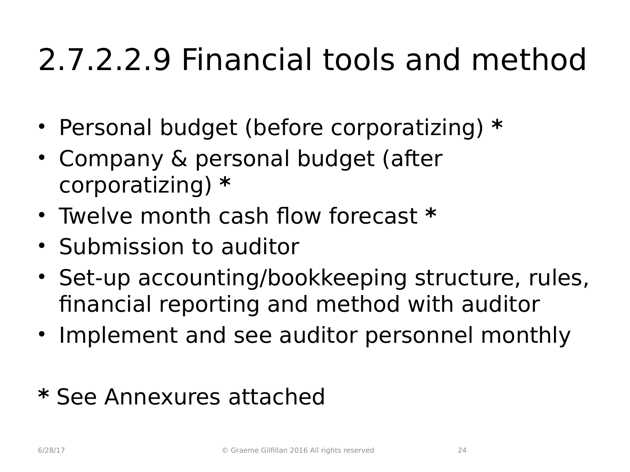### 2.7.2.2.9 Financial tools and method

- Personal budget (before corporatizing) **\***
- Company & personal budget (after corporatizing) **\***
- Twelve month cash flow forecast **\***
- Submission to auditor
- Set-up accounting/bookkeeping structure, rules, financial reporting and method with auditor
- Implement and see auditor personnel monthly

#### **\*** See Annexures attached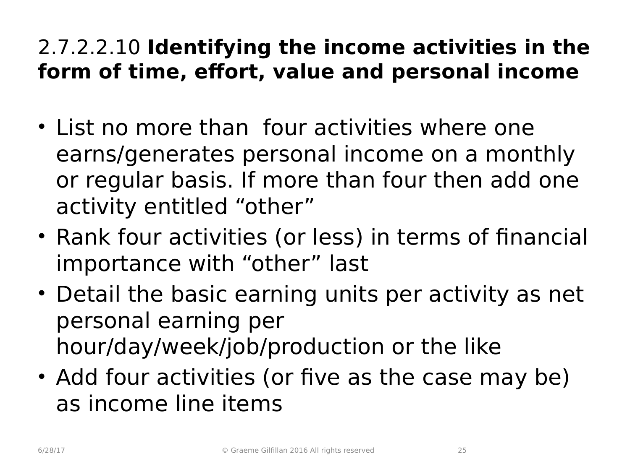#### 2.7.2.2.10 **Identifying the income activities in the form of time, effort, value and personal income**

- List no more than four activities where one earns/generates personal income on a monthly or regular basis. If more than four then add one activity entitled "other"
- Rank four activities (or less) in terms of financial importance with "other" last
- Detail the basic earning units per activity as net personal earning per hour/day/week/job/production or the like
- Add four activities (or five as the case may be) as income line items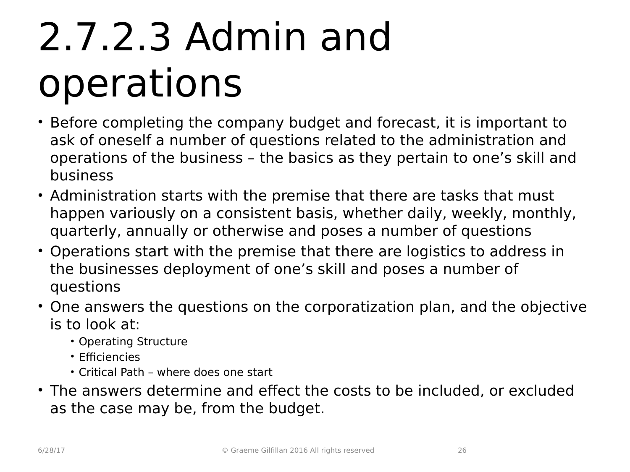## 2.7.2.3 Admin and operations

- Before completing the company budget and forecast, it is important to ask of oneself a number of questions related to the administration and operations of the business – the basics as they pertain to one's skill and business
- Administration starts with the premise that there are tasks that must happen variously on a consistent basis, whether daily, weekly, monthly, quarterly, annually or otherwise and poses a number of questions
- Operations start with the premise that there are logistics to address in the businesses deployment of one's skill and poses a number of questions
- One answers the questions on the corporatization plan, and the objective is to look at:
	- Operating Structure
	- Efficiencies
	- Critical Path where does one start
- The answers determine and effect the costs to be included, or excluded as the case may be, from the budget.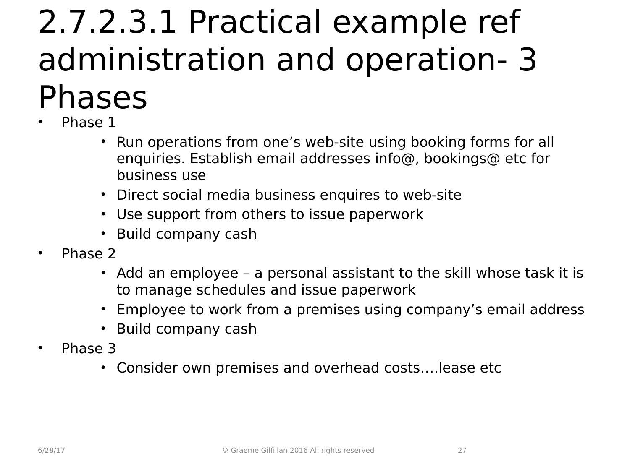### 2.7.2.3.1 Practical example ref administration and operation- 3 Phases

- Phase 1
	- Run operations from one's web-site using booking forms for all enquiries. Establish email addresses info@, bookings@ etc for business use
	- Direct social media business enquires to web-site
	- Use support from others to issue paperwork
	- Build company cash
- Phase 2
	- Add an employee a personal assistant to the skill whose task it is to manage schedules and issue paperwork
	- Employee to work from a premises using company's email address
	- Build company cash
- Phase 3
	- Consider own premises and overhead costs….lease etc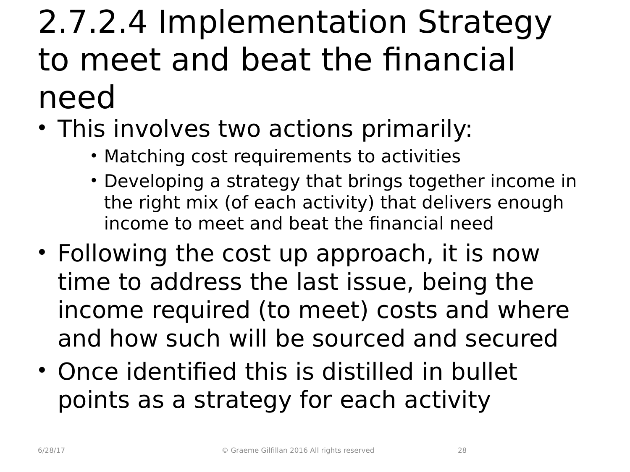## 2.7.2.4 Implementation Strategy to meet and beat the financial need

- This involves two actions primarily:
	- Matching cost requirements to activities
	- Developing a strategy that brings together income in the right mix (of each activity) that delivers enough income to meet and beat the financial need
- Following the cost up approach, it is now time to address the last issue, being the income required (to meet) costs and where and how such will be sourced and secured
- Once identified this is distilled in bullet points as a strategy for each activity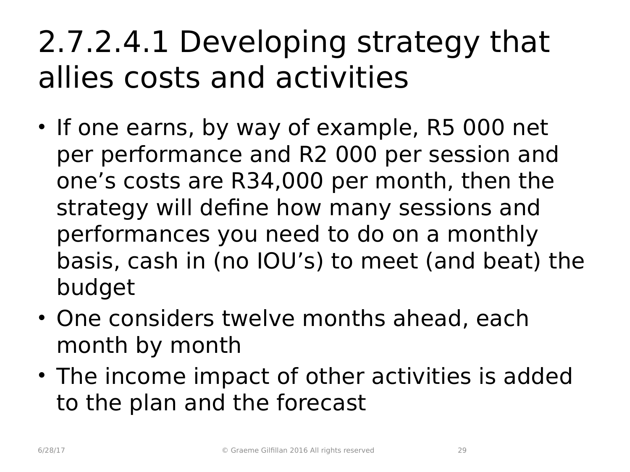### 2.7.2.4.1 Developing strategy that allies costs and activities

- If one earns, by way of example, R5 000 net per performance and R2 000 per session and one's costs are R34,000 per month, then the strategy will define how many sessions and performances you need to do on a monthly basis, cash in (no IOU's) to meet (and beat) the budget
- One considers twelve months ahead, each month by month
- The income impact of other activities is added to the plan and the forecast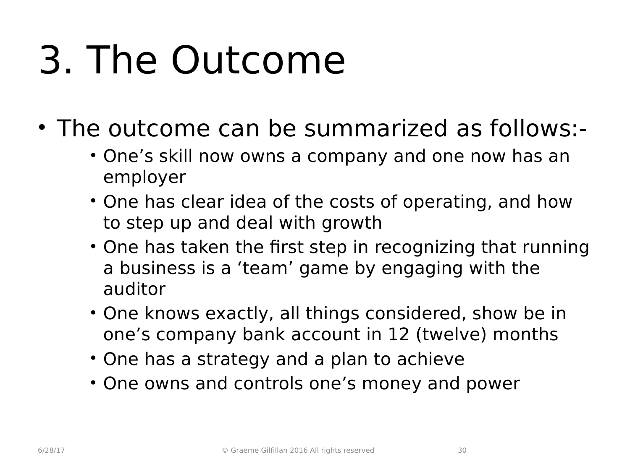## 3. The Outcome

- The outcome can be summarized as follows:-
	- One's skill now owns a company and one now has an employer
	- One has clear idea of the costs of operating, and how to step up and deal with growth
	- One has taken the first step in recognizing that running a business is a 'team' game by engaging with the auditor
	- One knows exactly, all things considered, show be in one's company bank account in 12 (twelve) months
	- One has a strategy and a plan to achieve
	- One owns and controls one's money and power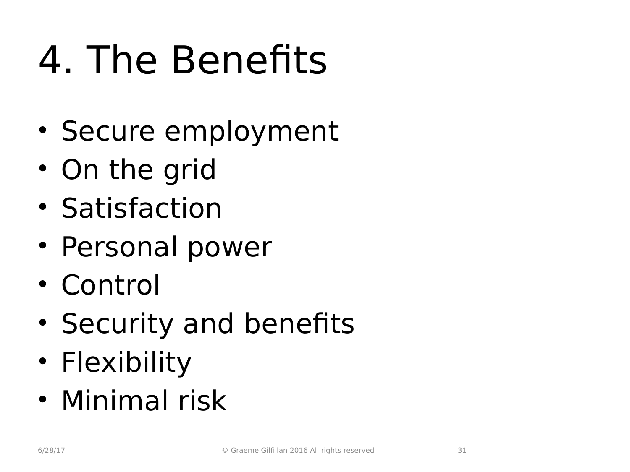## 4. The Benefits

- Secure employment
- On the grid
- Satisfaction
- Personal power
- Control
- Security and benefits
- Flexibility
- Minimal risk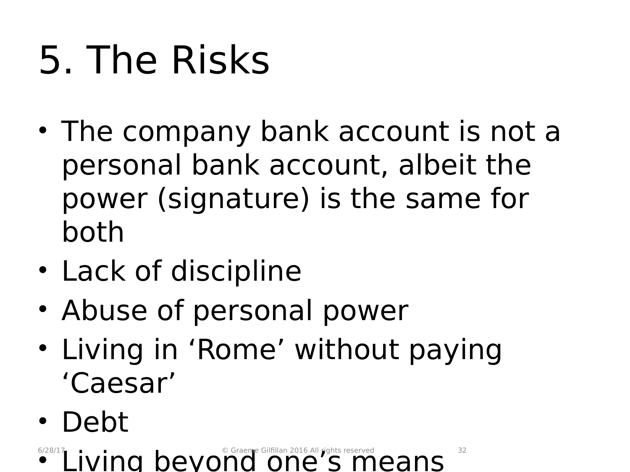# 5. The Risks

- The company bank account is not a personal bank account, albeit the power (signature) is the same for both
- Lack of discipline
- Abuse of personal power
- Living in 'Rome' without paying 'Caesar'
- Debt

**• Living beyond one's means** <sup>6/28/17</sup> Living beyond one's means